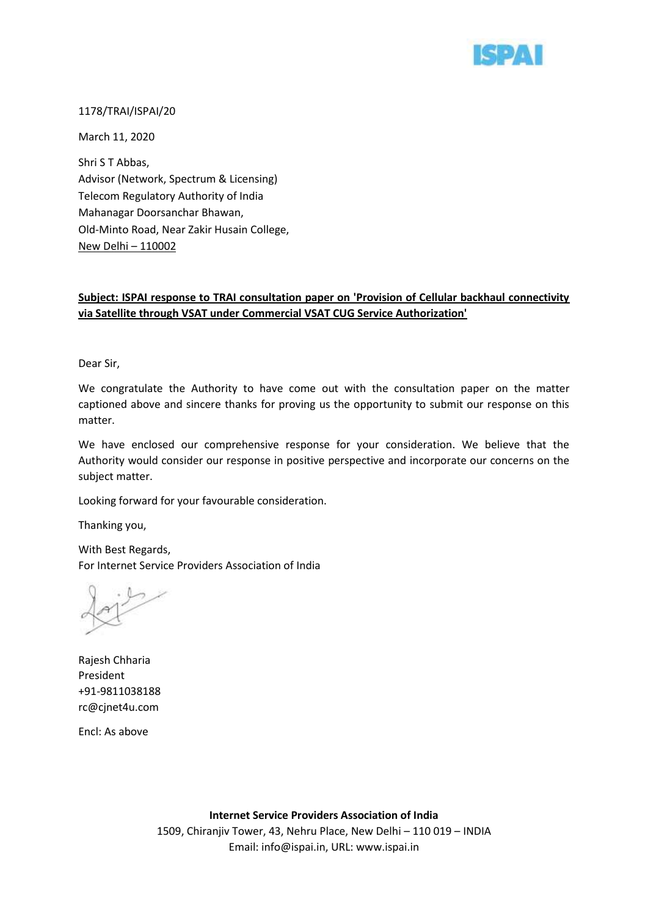

## 1178/TRAI/ISPAI/20

March 11, 2020

Shri S T Abbas, Advisor (Network, Spectrum & Licensing) Telecom Regulatory Authority of India Mahanagar Doorsanchar Bhawan, Old-Minto Road, Near Zakir Husain College, New Delhi – 110002

# **Subject: ISPAI response to TRAI consultation paper on 'Provision of Cellular backhaul connectivity via Satellite through VSAT under Commercial VSAT CUG Service Authorization'**

Dear Sir,

We congratulate the Authority to have come out with the consultation paper on the matter captioned above and sincere thanks for proving us the opportunity to submit our response on this matter.

We have enclosed our comprehensive response for your consideration. We believe that the Authority would consider our response in positive perspective and incorporate our concerns on the subject matter.

Looking forward for your favourable consideration.

Thanking you,

With Best Regards, For Internet Service Providers Association of India

Rajesh Chharia President +91-9811038188 rc@cjnet4u.com

Encl: As above

**Internet Service Providers Association of India** 1509, Chiranjiv Tower, 43, Nehru Place, New Delhi – 110 019 – INDIA Email: info@ispai.in, URL: www.ispai.in